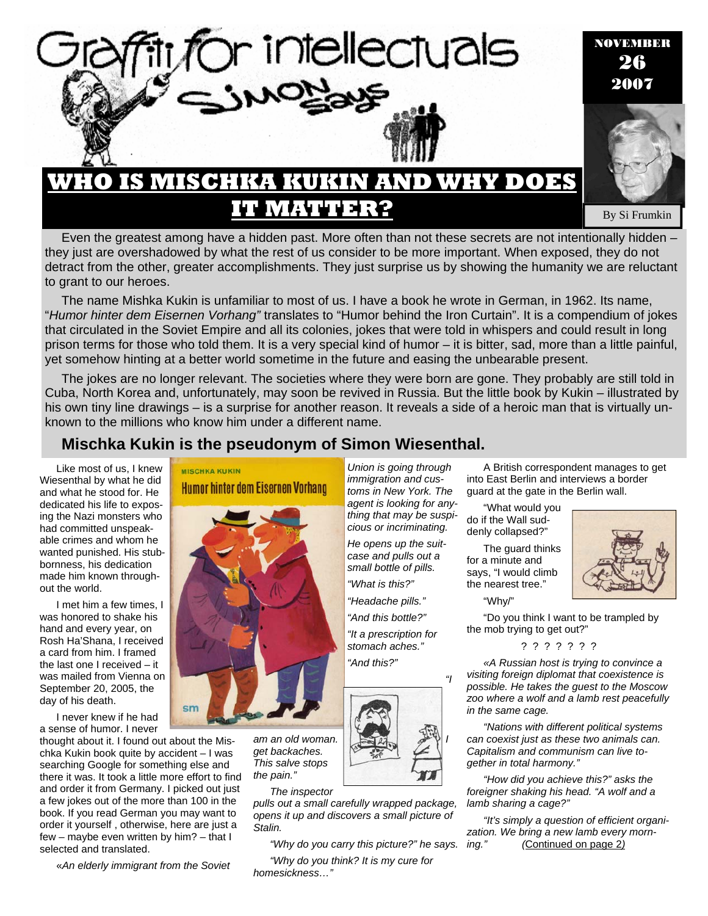

Even the greatest among have a hidden past. More often than not these secrets are not intentionally hidden – they just are overshadowed by what the rest of us consider to be more important. When exposed, they do not detract from the other, greater accomplishments. They just surprise us by showing the humanity we are reluctant to grant to our heroes.

The name Mishka Kukin is unfamiliar to most of us. I have a book he wrote in German, in 1962. Its name, "*Humor hinter dem Eisernen Vorhang"* translates to "Humor behind the Iron Curtain". It is a compendium of jokes that circulated in the Soviet Empire and all its colonies, jokes that were told in whispers and could result in long prison terms for those who told them. It is a very special kind of humor – it is bitter, sad, more than a little painful, yet somehow hinting at a better world sometime in the future and easing the unbearable present.

The jokes are no longer relevant. The societies where they were born are gone. They probably are still told in Cuba, North Korea and, unfortunately, may soon be revived in Russia. But the little book by Kukin – illustrated by his own tiny line drawings – is a surprise for another reason. It reveals a side of a heroic man that is virtually unknown to the millions who know him under a different name.

## **Mischka Kukin is the pseudonym of Simon Wiesenthal.**

Like most of us, I knew Wiesenthal by what he did and what he stood for. He dedicated his life to exposing the Nazi monsters who had committed unspeakable crimes and whom he wanted punished. His stubbornness, his dedication made him known throughout the world.

I met him a few times, I was honored to shake his hand and every year, on Rosh Ha'Shana, I received a card from him. I framed the last one I received – it was mailed from Vienna on September 20, 2005, the day of his death.

I never knew if he had a sense of humor. I never

thought about it. I found out about the Mischka Kukin book quite by accident – I was searching Google for something else and there it was. It took a little more effort to find and order it from Germany. I picked out just a few jokes out of the more than 100 in the book. If you read German you may want to order it yourself , otherwise, here are just a few – maybe even written by him? – that I selected and translated.

«*An elderly immigrant from the Soviet* 

# **MISCHKA KUKIN Humor hinter dem Eisernen Vorhang**



am an old woman. *get backaches. This salve stops the pain."* 

### *The inspector*

*pulls out a small carefully wrapped package, opens it up and discovers a small picture of Stalin.*

*"Why do you carry this picture?" he says.* 

*"Why do you think? It is my cure for homesickness…"* 

*Union is going through immigration and customs in New York. The agent is looking for anything that may be suspicious or incriminating.* 

*He opens up the suitcase and pulls out a small bottle of pills.* 

*"What is this?"* 

*"Headache pills." "And this bottle?"* 

*"It a prescription for stomach aches." "And this?"* 



A British correspondent manages to get into East Berlin and interviews a border guard at the gate in the Berlin wall.

"What would you do if the Wall suddenly collapsed?"

The guard thinks for a minute and says, "I would climb the nearest tree."

"Why/"

"Do you think I want to be trampled by the mob trying to get out?"

? ? ? ? ? ? ?

*«A Russian host is trying to convince a visiting foreign diplomat that coexistence is possible. He takes the guest to the Moscow zoo where a wolf and a lamb rest peacefully in the same cage.* 

*"Nations with different political systems can coexist just as these two animals can. Capitalism and communism can live together in total harmony."* 

*"How did you achieve this?" asks the foreigner shaking his head. "A wolf and a lamb sharing a cage?"* 

*"It's simply a question of efficient organization. We bring a new lamb every morni*Continued on page 2*)*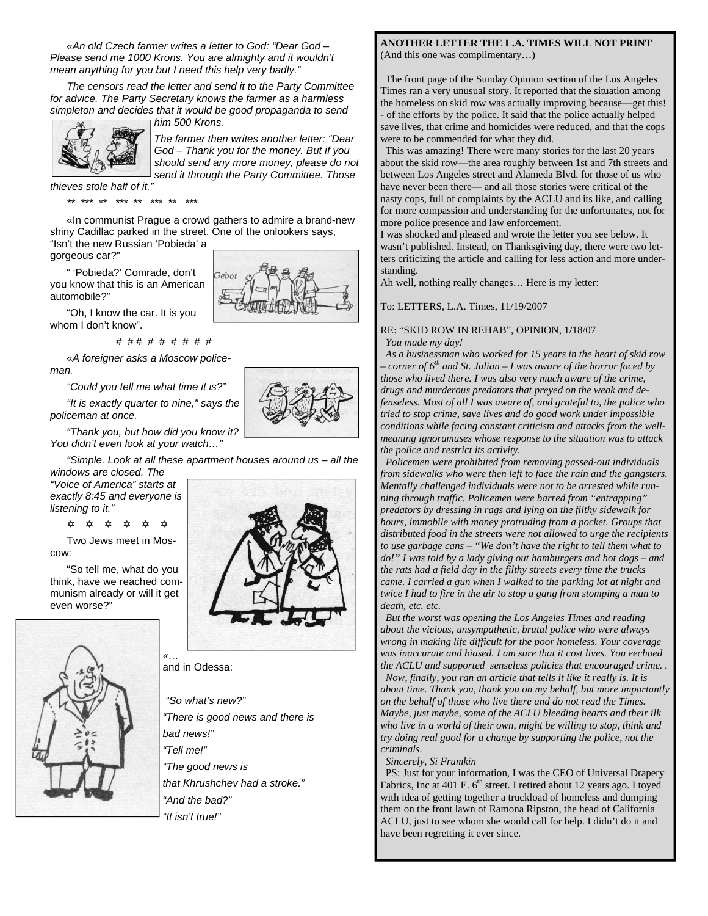*«An old Czech farmer writes a letter to God: "Dear God – Please send me 1000 Krons. You are almighty and it wouldn't mean anything for you but I need this help very badly."* 

*The censors read the letter and send it to the Party Committee for advice. The Party Secretary knows the farmer as a harmless simpleton and decides that it would be good propaganda to send* 

*him 500 Krons.* 



*The farmer then writes another letter: "Dear God – Thank you for the money. But if you should send any more money, please do not send it through the Party Committee. Those* 

*thieves stole half of it."* 

*\*\* \*\*\* \*\* \*\*\* \*\* \*\*\* \*\* \*\*\** 

«In communist Prague a crowd gathers to admire a brand-new shiny Cadillac parked in the street. One of the onlookers says, "Isn't the new Russian 'Pobieda' a

 $\vec{r}$ ebot

gorgeous car?"

" 'Pobieda?' Comrade, don't you know that this is an American automobile?"

"Oh, I know the car. It is you whom I don't know".

# # # # # # # # #

«*A foreigner asks a Moscow policeman.* 

*"Could you tell me what time it is?"* 

*"It is exactly quarter to nine," says the policeman at once.* 

*"Thank you, but how did you know it? You didn't even look at your watch…"* 

*"Simple. Look at all these apartment houses around us – all the windows are closed. The* 

*"Voice of America" starts at exactly 8:45 and everyone is listening to it."* 

@ @ @ @ @ @

Two Jews meet in Moscow:

"So tell me, what do you think, have we reached communism already or will it get even worse?"





and in Odessa:

 *"So what's new?" "There is good news and there is bad news!" "Tell me!" "The good news is that Khrushchev had a stroke." "And the bad?" "It isn't true!"* 

#### **ANOTHER LETTER THE L.A. TIMES WILL NOT PRINT**  (And this one was complimentary…)

 The front page of the Sunday Opinion section of the Los Angeles Times ran a very unusual story. It reported that the situation among the homeless on skid row was actually improving because—get this! - of the efforts by the police. It said that the police actually helped save lives, that crime and homicides were reduced, and that the cops were to be commended for what they did.

 This was amazing! There were many stories for the last 20 years about the skid row—the area roughly between 1st and 7th streets and between Los Angeles street and Alameda Blvd. for those of us who have never been there— and all those stories were critical of the nasty cops, full of complaints by the ACLU and its like, and calling for more compassion and understanding for the unfortunates, not for more police presence and law enforcement.

I was shocked and pleased and wrote the letter you see below. It wasn't published. Instead, on Thanksgiving day, there were two letters criticizing the article and calling for less action and more understanding.

Ah well, nothing really changes… Here is my letter:

To: LETTERS, L.A. Times, 11/19/2007

### RE: "SKID ROW IN REHAB", OPINION, 1/18/07 *You made my day!*

 *As a businessman who worked for 15 years in the heart of skid row – corner of 6th and St. Julian – I was aware of the horror faced by those who lived there. I was also very much aware of the crime, drugs and murderous predators that preyed on the weak and defenseless. Most of all I was aware of, and grateful to, the police who tried to stop crime, save lives and do good work under impossible conditions while facing constant criticism and attacks from the wellmeaning ignoramuses whose response to the situation was to attack the police and restrict its activity.* 

 *Policemen were prohibited from removing passed-out individuals from sidewalks who were then left to face the rain and the gangsters. Mentally challenged individuals were not to be arrested while running through traffic. Policemen were barred from "entrapping" predators by dressing in rags and lying on the filthy sidewalk for hours, immobile with money protruding from a pocket. Groups that distributed food in the streets were not allowed to urge the recipients to use garbage cans – "We don't have the right to tell them what to do!" I was told by a lady giving out hamburgers and hot dogs – and the rats had a field day in the filthy streets every time the trucks came. I carried a gun when I walked to the parking lot at night and twice I had to fire in the air to stop a gang from stomping a man to death, etc. etc.* 

 *But the worst was opening the Los Angeles Times and reading about the vicious, unsympathetic, brutal police who were always wrong in making life difficult for the poor homeless. Your coverage was inaccurate and biased. I am sure that it cost lives. You eechoed the ACLU and supported senseless policies that encouraged crime. . Now, finally, you ran an article that tells it like it really is. It is about time. Thank you, thank you on my behalf, but more importantly on the behalf of those who live there and do not read the Times. Maybe, just maybe, some of the ACLU bleeding hearts and their ilk who live in a world of their own, might be willing to stop, think and try doing real good for a change by supporting the police, not the criminals.* 

 *Sincerely, Si Frumkin* 

 PS: Just for your information, I was the CEO of Universal Drapery Fabrics, Inc at 401 E.  $6<sup>th</sup>$  street. I retired about 12 years ago. I toyed with idea of getting together a truckload of homeless and dumping them on the front lawn of Ramona Ripston, the head of California ACLU, just to see whom she would call for help. I didn't do it and have been regretting it ever since.

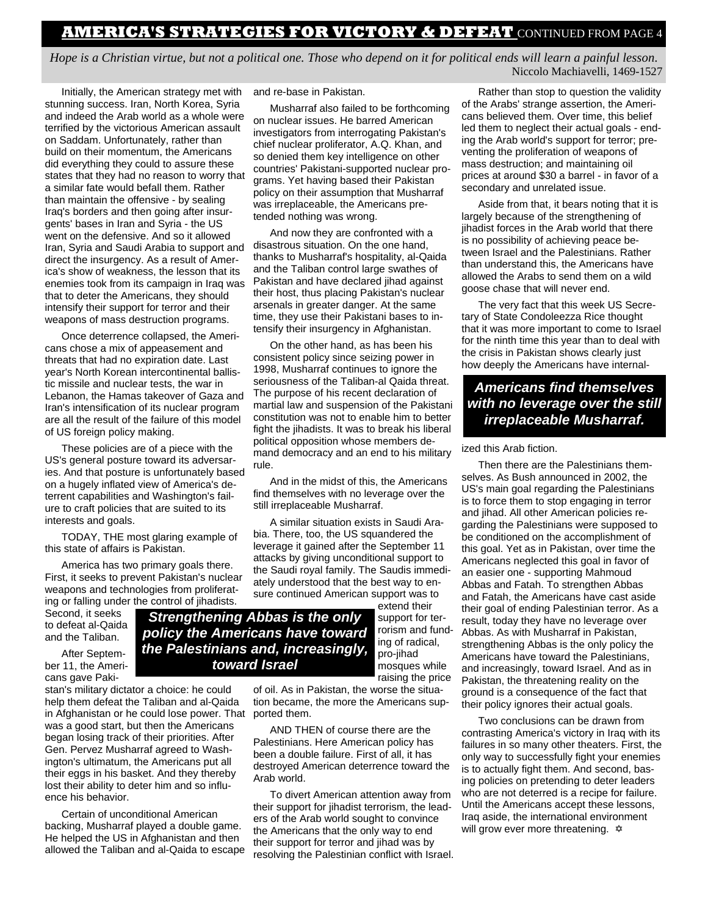## **AMERICA'S STRATEGIES FOR VICTORY & DEFEAT** CONTINUED FROM PAGE 4

*Hope is a Christian virtue, but not a political one. Those who depend on it for political ends will learn a painful lesson*. Niccolo Machiavelli, 1469-1527

Initially, the American strategy met with stunning success. Iran, North Korea, Syria and indeed the Arab world as a whole were terrified by the victorious American assault on Saddam. Unfortunately, rather than build on their momentum, the Americans did everything they could to assure these states that they had no reason to worry that a similar fate would befall them. Rather than maintain the offensive - by sealing Iraq's borders and then going after insurgents' bases in Iran and Syria - the US went on the defensive. And so it allowed Iran, Syria and Saudi Arabia to support and direct the insurgency. As a result of America's show of weakness, the lesson that its enemies took from its campaign in Iraq was that to deter the Americans, they should intensify their support for terror and their weapons of mass destruction programs.

Once deterrence collapsed, the Americans chose a mix of appeasement and threats that had no expiration date. Last year's North Korean intercontinental ballistic missile and nuclear tests, the war in Lebanon, the Hamas takeover of Gaza and Iran's intensification of its nuclear program are all the result of the failure of this model of US foreign policy making.

These policies are of a piece with the US's general posture toward its adversaries. And that posture is unfortunately based on a hugely inflated view of America's deterrent capabilities and Washington's failure to craft policies that are suited to its interests and goals.

TODAY, THE most glaring example of this state of affairs is Pakistan.

America has two primary goals there. First, it seeks to prevent Pakistan's nuclear weapons and technologies from proliferating or falling under the control of jihadists.

Second, it seeks to defeat al-Qaida and the Taliban.

After September 11, the Americans gave Paki-

stan's military dictator a choice: he could help them defeat the Taliban and al-Qaida in Afghanistan or he could lose power. That was a good start, but then the Americans began losing track of their priorities. After Gen. Pervez Musharraf agreed to Washington's ultimatum, the Americans put all their eggs in his basket. And they thereby lost their ability to deter him and so influence his behavior.

Certain of unconditional American backing, Musharraf played a double game. He helped the US in Afghanistan and then allowed the Taliban and al-Qaida to escape and re-base in Pakistan.

Musharraf also failed to be forthcoming on nuclear issues. He barred American investigators from interrogating Pakistan's chief nuclear proliferator, A.Q. Khan, and so denied them key intelligence on other countries' Pakistani-supported nuclear programs. Yet having based their Pakistan policy on their assumption that Musharraf was irreplaceable, the Americans pretended nothing was wrong.

And now they are confronted with a disastrous situation. On the one hand, thanks to Musharraf's hospitality, al-Qaida and the Taliban control large swathes of Pakistan and have declared jihad against their host, thus placing Pakistan's nuclear arsenals in greater danger. At the same time, they use their Pakistani bases to intensify their insurgency in Afghanistan.

On the other hand, as has been his consistent policy since seizing power in 1998, Musharraf continues to ignore the seriousness of the Taliban-al Qaida threat. The purpose of his recent declaration of martial law and suspension of the Pakistani constitution was not to enable him to better fight the jihadists. It was to break his liberal political opposition whose members demand democracy and an end to his military rule.

And in the midst of this, the Americans find themselves with no leverage over the still irreplaceable Musharraf.

A similar situation exists in Saudi Arabia. There, too, the US squandered the leverage it gained after the September 11 attacks by giving unconditional support to the Saudi royal family. The Saudis immediately understood that the best way to ensure continued American support was to

extend their

support for terrorism and funding of radical, pro-jihad mosques while raising the price *Strengthening Abbas is the only policy the Americans have toward the Palestinians and, increasingly, toward Israel* 

> of oil. As in Pakistan, the worse the situation became, the more the Americans supported them.

> AND THEN of course there are the Palestinians. Here American policy has been a double failure. First of all, it has destroyed American deterrence toward the Arab world.

To divert American attention away from their support for jihadist terrorism, the leaders of the Arab world sought to convince the Americans that the only way to end their support for terror and jihad was by resolving the Palestinian conflict with Israel.

Rather than stop to question the validity of the Arabs' strange assertion, the Americans believed them. Over time, this belief led them to neglect their actual goals - ending the Arab world's support for terror; preventing the proliferation of weapons of mass destruction; and maintaining oil prices at around \$30 a barrel - in favor of a secondary and unrelated issue.

Aside from that, it bears noting that it is largely because of the strengthening of jihadist forces in the Arab world that there is no possibility of achieving peace between Israel and the Palestinians. Rather than understand this, the Americans have allowed the Arabs to send them on a wild goose chase that will never end.

The very fact that this week US Secretary of State Condoleezza Rice thought that it was more important to come to Israel for the ninth time this year than to deal with the crisis in Pakistan shows clearly just how deeply the Americans have internal-

### *Americans find themselves with no leverage over the still irreplaceable Musharraf.*

#### ized this Arab fiction.

Then there are the Palestinians themselves. As Bush announced in 2002, the US's main goal regarding the Palestinians is to force them to stop engaging in terror and jihad. All other American policies regarding the Palestinians were supposed to be conditioned on the accomplishment of this goal. Yet as in Pakistan, over time the Americans neglected this goal in favor of an easier one - supporting Mahmoud Abbas and Fatah. To strengthen Abbas and Fatah, the Americans have cast aside their goal of ending Palestinian terror. As a result, today they have no leverage over Abbas. As with Musharraf in Pakistan, strengthening Abbas is the only policy the Americans have toward the Palestinians, and increasingly, toward Israel. And as in Pakistan, the threatening reality on the ground is a consequence of the fact that their policy ignores their actual goals.

Two conclusions can be drawn from contrasting America's victory in Iraq with its failures in so many other theaters. First, the only way to successfully fight your enemies is to actually fight them. And second, basing policies on pretending to deter leaders who are not deterred is a recipe for failure. Until the Americans accept these lessons, Iraq aside, the international environment will grow ever more threatening.  $\dot{\varphi}$